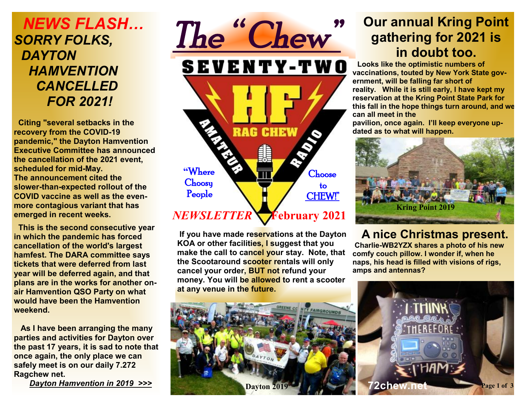# *NEWS FLASH… SORRY FOLKS, DAYTON HAMVENTION CANCELLED FOR 2021!*

 **Citing "several setbacks in the recovery from the COVID-19 pandemic," the Dayton Hamvention Executive Committee has announced the cancellation of the 2021 event, scheduled for mid-May. The announcement cited the slower-than-expected rollout of the COVID vaccine as well as the evenmore contagious variant that has emerged in recent weeks.** 

 **This is the second consecutive year in which the pandemic has forced cancellation of the world's largest hamfest. The DARA committee says tickets that were deferred from last year will be deferred again, and that plans are in the works for another onair Hamvention QSO Party on what would have been the Hamvention weekend.** 

 **As I have been arranging the many parties and activities for Dayton over the past 17 years, it is sad to note that once again, the only place we can safely meet is on our daily 7.272 Ragchew net.** 

 *Dayton Hamvention in 2019 >>>*



 **If you have made reservations at the Dayton KOA or other facilities, I suggest that you make the call to cancel your stay. Note, that the Scootaround scooter rentals will only cancel your order, BUT not refund your money. You will be allowed to rent a scooter at any venue in the future.** 



# **Our annual Kring Point gathering for 2021 is in doubt too.**

**Looks like the optimistic numbers of vaccinations, touted by New York State government, will be falling far short of reality. While it is still early, I have kept my reservation at the Kring Point State Park for this fall in the hope things turn around, and we can all meet in the** 

**pavilion, once again. I'll keep everyone updated as to what will happen.** 



 **A nice Christmas present.**

**Charlie-WB2YZX shares a photo of his new comfy couch pillow. I wonder if, when he naps, his head is filled with visions of rigs, amps and antennas?** 

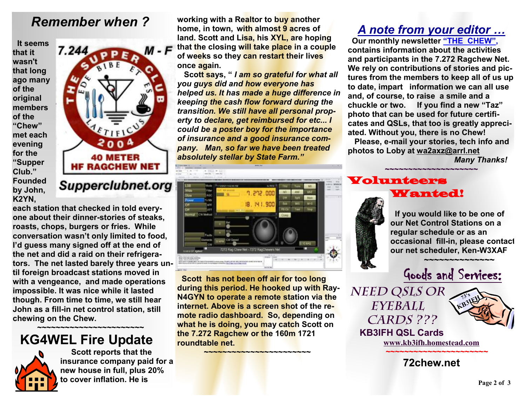### *Remember when ?*

 **It seems that it wasn't that long ago many of the original members of the "Chew" met each evening for the "Supper Club." Founded by John, K2YN,** 



**each station that checked in told everyone about their dinner-stories of steaks, roasts, chops, burgers or fries. While conversation wasn't only limited to food, I'd guess many signed off at the end of the net and did a raid on their refrigerators. The net lasted barely three years until foreign broadcast stations moved in with a vengeance, and made operations impossible. It was nice while it lasted though. From time to time, we still hear John as a fill-in net control station, still chewing on the Chew.** 

### **~~~~~~~~~~~~~~~~~~~~~~~ KG4WEL Fire Update**



 **Scott reports that the insurance company paid for a new house in full, plus 20% to cover inflation. He is** 

**working with a Realtor to buy another home, in town, with almost 9 acres of land. Scott and Lisa, his XYL, are hoping that the closing will take place in a couple of weeks so they can restart their lives once again.** 

 **Scott says, "** *I am so grateful for what all you guys did and how everyone has helped us. It has made a huge difference in keeping the cash flow forward during the transition. We still have all personal property to declare, get reimbursed for etc... I could be a poster boy for the importance of insurance and a good insurance company. Man, so far we have been treated absolutely stellar by State Farm."*



 **Scott has not been off air for too long during this period. He hooked up with Ray-N4GYN to operate a remote station via the internet. Above is a screen shot of the remote radio dashboard. So, depending on what he is doing, you may catch Scott on the 7.272 Ragchew or the 160m 1721 roundtable net.** 

★<mark>★★★★★★★★★★★★★★★</mark>★★★★<mark>★</mark>★★★

### *A note from your editor …*

 **Our monthly newsletter "THE CHEW", contains information about the activities and participants in the 7.272 Ragchew Net. We rely on contributions of stories and pictures from the members to keep all of us up to date, impart information we can all use and, of course, to raise a smile and a chuckle or two. If you find a new "Taz" photo that can be used for future certificates and QSLs, that too is greatly appreciated. Without you, there is no Chew! Please, e-mail your stories, tech info and photos to Loby at [wa2axz@arrl.net](mailto:wa2axz@arrl.net)** 

*Many Thanks!* 

#### **~~~~~~~~~~~~~~~~~~~~** Volunteers Wanted!



 **If you would like to be one of our Net Control Stations on a regular schedule or as an occasional fill-in, please contact our net scheduler, Ken-W3XAF**



*Need QSLs or Eyeball Cards ???* 



 **KB3IFH QSL Cards [www.kb3ifh.homestead.com](http://www.kb3ifh.homestead.com) ~~~~~~~~~~~~~~~~~~~~~~** 

**72chew.net**